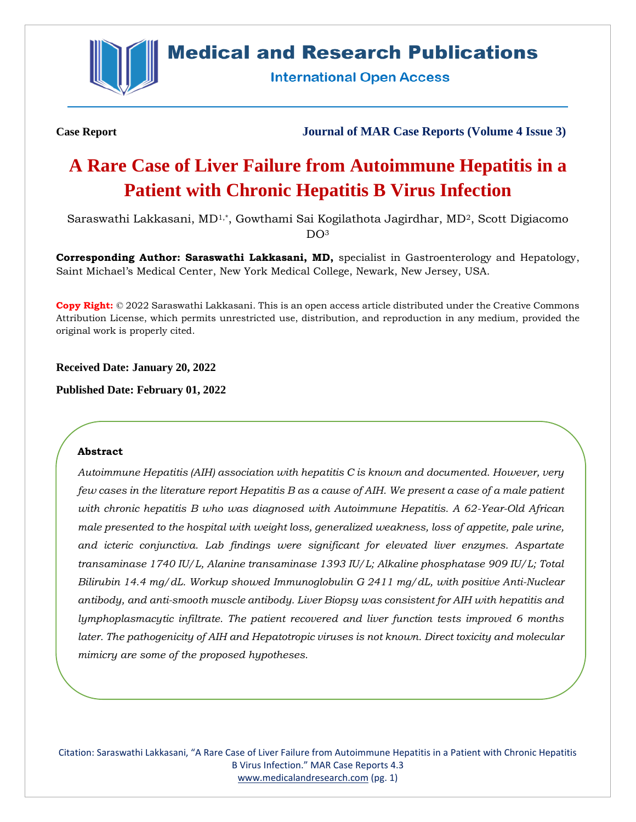

# **Medical and Research Publications**

**International Open Access** 

**Case Report Journal of MAR Case Reports (Volume 4 Issue 3)**

# **A Rare Case of Liver Failure from Autoimmune Hepatitis in a Patient with Chronic Hepatitis B Virus Infection**

Saraswathi Lakkasani, MD1,\*, Gowthami Sai Kogilathota Jagirdhar, MD2, Scott Digiacomo DO<sub>3</sub>

**Corresponding Author: Saraswathi Lakkasani, MD,** specialist in Gastroenterology and Hepatology, Saint Michael's Medical Center, New York Medical College, Newark, New Jersey, USA.

**Copy Right:** © 2022 Saraswathi Lakkasani. This is an open access article distributed under the Creative Commons Attribution License, which permits unrestricted use, distribution, and reproduction in any medium, provided the original work is properly cited.

**Received Date: January 20, 2022**

**Published Date: February 01, 2022**

#### **Abstract**

*Autoimmune Hepatitis (AIH) association with hepatitis C is known and documented. However, very few cases in the literature report Hepatitis B as a cause of AIH. We present a case of a male patient with chronic hepatitis B who was diagnosed with Autoimmune Hepatitis. A 62-Year-Old African male presented to the hospital with weight loss, generalized weakness, loss of appetite, pale urine, and icteric conjunctiva. Lab findings were significant for elevated liver enzymes. Aspartate transaminase 1740 IU/L, Alanine transaminase 1393 IU/L; Alkaline phosphatase 909 IU/L; Total Bilirubin 14.4 mg/dL. Workup showed Immunoglobulin G 2411 mg/dL, with positive Anti-Nuclear antibody, and anti-smooth muscle antibody. Liver Biopsy was consistent for AIH with hepatitis and lymphoplasmacytic infiltrate. The patient recovered and liver function tests improved 6 months later. The pathogenicity of AIH and Hepatotropic viruses is not known. Direct toxicity and molecular mimicry are some of the proposed hypotheses.*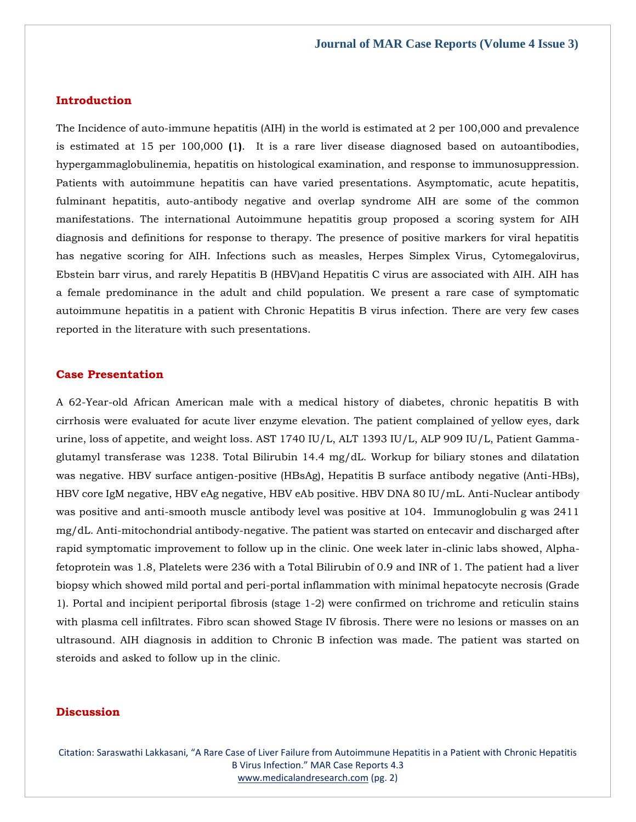### **Introduction**

The Incidence of auto-immune hepatitis (AIH) in the world is estimated at 2 per 100,000 and prevalence is estimated at 15 per 100,000 **(**1**)**. It is a rare liver disease diagnosed based on autoantibodies, hypergammaglobulinemia, hepatitis on histological examination, and response to immunosuppression. Patients with autoimmune hepatitis can have varied presentations. Asymptomatic, acute hepatitis, fulminant hepatitis, auto-antibody negative and overlap syndrome AIH are some of the common manifestations. The international Autoimmune hepatitis group proposed a scoring system for AIH diagnosis and definitions for response to therapy. The presence of positive markers for viral hepatitis has negative scoring for AIH. Infections such as measles, Herpes Simplex Virus, Cytomegalovirus, Ebstein barr virus, and rarely Hepatitis B (HBV)and Hepatitis C virus are associated with AIH. AIH has a female predominance in the adult and child population. We present a rare case of symptomatic autoimmune hepatitis in a patient with Chronic Hepatitis B virus infection. There are very few cases reported in the literature with such presentations.

#### **Case Presentation**

A 62-Year-old African American male with a medical history of diabetes, chronic hepatitis B with cirrhosis were evaluated for acute liver enzyme elevation. The patient complained of yellow eyes, dark urine, loss of appetite, and weight loss. AST 1740 IU/L, ALT 1393 IU/L, ALP 909 IU/L, Patient Gammaglutamyl transferase was 1238. Total Bilirubin 14.4 mg/dL. Workup for biliary stones and dilatation was negative. HBV surface antigen-positive (HBsAg), Hepatitis B surface antibody negative (Anti-HBs), HBV core IgM negative, HBV eAg negative, HBV eAb positive. HBV DNA 80 IU/mL. Anti-Nuclear antibody was positive and anti-smooth muscle antibody level was positive at 104. Immunoglobulin g was 2411 mg/dL. Anti-mitochondrial antibody-negative. The patient was started on entecavir and discharged after rapid symptomatic improvement to follow up in the clinic. One week later in-clinic labs showed, Alphafetoprotein was 1.8, Platelets were 236 with a Total Bilirubin of 0.9 and INR of 1. The patient had a liver biopsy which showed mild portal and peri-portal inflammation with minimal hepatocyte necrosis (Grade 1). Portal and incipient periportal fibrosis (stage 1-2) were confirmed on trichrome and reticulin stains with plasma cell infiltrates. Fibro scan showed Stage IV fibrosis. There were no lesions or masses on an ultrasound. AIH diagnosis in addition to Chronic B infection was made. The patient was started on steroids and asked to follow up in the clinic.

#### **Discussion**

Citation: Saraswathi Lakkasani, "A Rare Case of Liver Failure from Autoimmune Hepatitis in a Patient with Chronic Hepatitis B Virus Infection." MAR Case Reports 4.3 [www.medicalandresearch.com](http://www.medicalandresearch.com/) (pg. 2)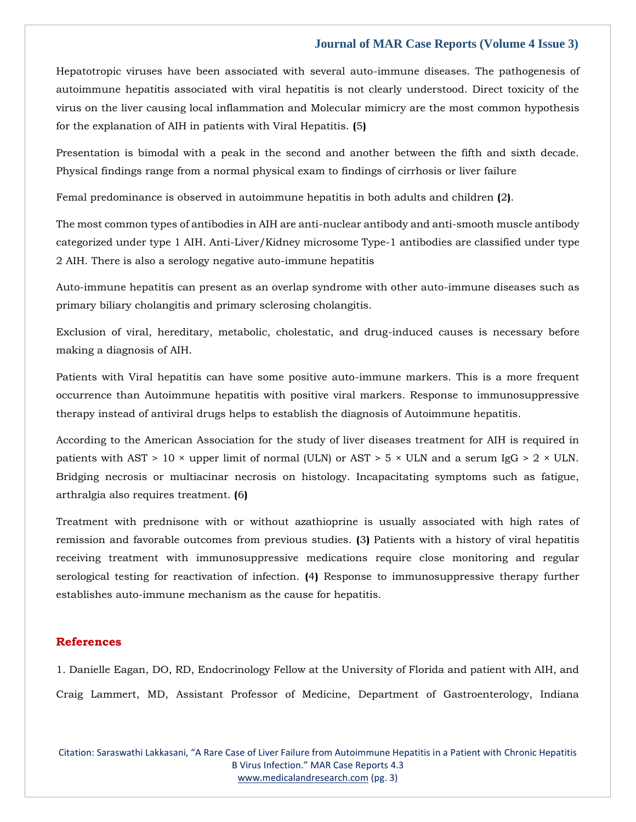#### **Journal of MAR Case Reports (Volume 4 Issue 3)**

Hepatotropic viruses have been associated with several auto-immune diseases. The pathogenesis of autoimmune hepatitis associated with viral hepatitis is not clearly understood. Direct toxicity of the virus on the liver causing local inflammation and Molecular mimicry are the most common hypothesis for the explanation of AIH in patients with Viral Hepatitis. **(**5**)**

Presentation is bimodal with a peak in the second and another between the fifth and sixth decade. Physical findings range from a normal physical exam to findings of cirrhosis or liver failure

Femal predominance is observed in autoimmune hepatitis in both adults and children **(**2**)**.

The most common types of antibodies in AIH are anti-nuclear antibody and anti-smooth muscle antibody categorized under type 1 AIH. Anti-Liver/Kidney microsome Type-1 antibodies are classified under type 2 AIH. There is also a serology negative auto-immune hepatitis

Auto-immune hepatitis can present as an overlap syndrome with other auto-immune diseases such as primary biliary cholangitis and primary sclerosing cholangitis.

Exclusion of viral, hereditary, metabolic, cholestatic, and drug-induced causes is necessary before making a diagnosis of AIH.

Patients with Viral hepatitis can have some positive auto-immune markers. This is a more frequent occurrence than Autoimmune hepatitis with positive viral markers. Response to immunosuppressive therapy instead of antiviral drugs helps to establish the diagnosis of Autoimmune hepatitis.

According to the American Association for the study of liver diseases treatment for AIH is required in patients with AST > 10  $\times$  upper limit of normal (ULN) or AST > 5  $\times$  ULN and a serum IgG > 2  $\times$  ULN. Bridging necrosis or multiacinar necrosis on histology. Incapacitating symptoms such as fatigue, arthralgia also requires treatment. **(**6**)**

Treatment with prednisone with or without azathioprine is usually associated with high rates of remission and favorable outcomes from previous studies. **(**3**)** Patients with a history of viral hepatitis receiving treatment with immunosuppressive medications require close monitoring and regular serological testing for reactivation of infection. **(**4**)** Response to immunosuppressive therapy further establishes auto-immune mechanism as the cause for hepatitis.

## **References**

1. [Danielle Eagan, DO, RD, Endocrinology Fellow at the University of Florida and patient with AIH, and](https://www.google.com/search?q=Danielle+Eagan%2C+DO%2C+RD%2C+Endocrinology+Fellow+at+the+University+of+Florida+and+patient+with+AIH%2C+and+Craig+Lammert%2C+MD%2C+Assistant+Professor+of+Medicine%2C+Department+of+Gastroenterology%2C+Indiana+University+Health+University+Hospital%2C+for+the+preparation+of+this+report.++Autoimmune+hepatitis.+National+organization+for+rare+disorders.&sxsrf=AOaemvKq-0t_9x5qeWA5hWOznlNz5VGCQQ%3A1643018567190&ei=R3nuYZ2aC8Kc4-EP1Zmg6Ao&ved=0ahUKEwjd2bmQkcr1AhVCzjgGHdUMCK0Q4dUDCA4&uact=5&oq=Danielle+Eagan%2C+DO%2C+RD%2C+Endocrinology+Fellow+at+the+University+of+Florida+and+patient+with+AIH%2C+and+Craig+Lammert%2C+MD%2C+Assistant+Professor+of+Medicine%2C+Department+of+Gastroenterology%2C+Indiana+University+Health+University+Hospital%2C+for+the+preparation+of+this+report.++Autoimmune+hepatitis.+National+organization+for+rare+disorders.&gs_lcp=Cgdnd3Mtd2l6EAMyBwgjEOoCECcyBwgjEOoCECcyBwgjEOoCECcyBwgjEOoCECcyBwgjEOoCECcyBwgjEOoCECcyBwgjEOoCECcyBwgjEOoCECcyBwgjEOoCECcyBwgjEOoCECdKBAhBGABKBAhGGABQ1QVY1QVgtQhoAXAAeACAAQCIAQCSAQCYAQCgAQGgAQKwAQrAAQE&sclient=gws-wiz)  [Craig Lammert, MD, Assistant Professor of Medicine, Department of Gastroenterology, Indiana](https://www.google.com/search?q=Danielle+Eagan%2C+DO%2C+RD%2C+Endocrinology+Fellow+at+the+University+of+Florida+and+patient+with+AIH%2C+and+Craig+Lammert%2C+MD%2C+Assistant+Professor+of+Medicine%2C+Department+of+Gastroenterology%2C+Indiana+University+Health+University+Hospital%2C+for+the+preparation+of+this+report.++Autoimmune+hepatitis.+National+organization+for+rare+disorders.&sxsrf=AOaemvKq-0t_9x5qeWA5hWOznlNz5VGCQQ%3A1643018567190&ei=R3nuYZ2aC8Kc4-EP1Zmg6Ao&ved=0ahUKEwjd2bmQkcr1AhVCzjgGHdUMCK0Q4dUDCA4&uact=5&oq=Danielle+Eagan%2C+DO%2C+RD%2C+Endocrinology+Fellow+at+the+University+of+Florida+and+patient+with+AIH%2C+and+Craig+Lammert%2C+MD%2C+Assistant+Professor+of+Medicine%2C+Department+of+Gastroenterology%2C+Indiana+University+Health+University+Hospital%2C+for+the+preparation+of+this+report.++Autoimmune+hepatitis.+National+organization+for+rare+disorders.&gs_lcp=Cgdnd3Mtd2l6EAMyBwgjEOoCECcyBwgjEOoCECcyBwgjEOoCECcyBwgjEOoCECcyBwgjEOoCECcyBwgjEOoCECcyBwgjEOoCECcyBwgjEOoCECcyBwgjEOoCECcyBwgjEOoCECdKBAhBGABKBAhGGABQ1QVY1QVgtQhoAXAAeACAAQCIAQCSAQCYAQCgAQGgAQKwAQrAAQE&sclient=gws-wiz) 

Citation: Saraswathi Lakkasani, "A Rare Case of Liver Failure from Autoimmune Hepatitis in a Patient with Chronic Hepatitis B Virus Infection." MAR Case Reports 4.3 [www.medicalandresearch.com](http://www.medicalandresearch.com/) (pg. 3)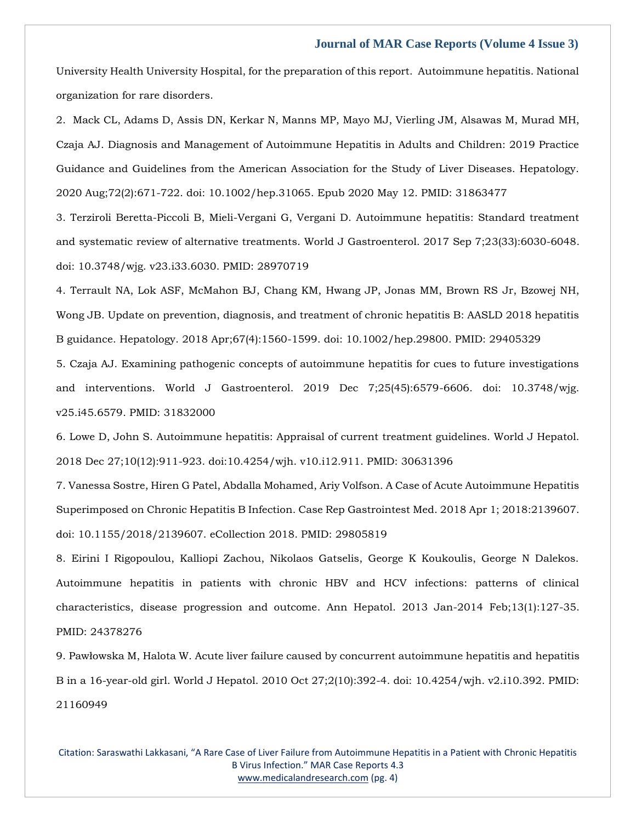#### **Journal of MAR Case Reports (Volume 4 Issue 3)**

[University Health University Hospital, for the preparation of this report. Autoimmune hepatitis. National](https://www.google.com/search?q=Danielle+Eagan%2C+DO%2C+RD%2C+Endocrinology+Fellow+at+the+University+of+Florida+and+patient+with+AIH%2C+and+Craig+Lammert%2C+MD%2C+Assistant+Professor+of+Medicine%2C+Department+of+Gastroenterology%2C+Indiana+University+Health+University+Hospital%2C+for+the+preparation+of+this+report.++Autoimmune+hepatitis.+National+organization+for+rare+disorders.&sxsrf=AOaemvKq-0t_9x5qeWA5hWOznlNz5VGCQQ%3A1643018567190&ei=R3nuYZ2aC8Kc4-EP1Zmg6Ao&ved=0ahUKEwjd2bmQkcr1AhVCzjgGHdUMCK0Q4dUDCA4&uact=5&oq=Danielle+Eagan%2C+DO%2C+RD%2C+Endocrinology+Fellow+at+the+University+of+Florida+and+patient+with+AIH%2C+and+Craig+Lammert%2C+MD%2C+Assistant+Professor+of+Medicine%2C+Department+of+Gastroenterology%2C+Indiana+University+Health+University+Hospital%2C+for+the+preparation+of+this+report.++Autoimmune+hepatitis.+National+organization+for+rare+disorders.&gs_lcp=Cgdnd3Mtd2l6EAMyBwgjEOoCECcyBwgjEOoCECcyBwgjEOoCECcyBwgjEOoCECcyBwgjEOoCECcyBwgjEOoCECcyBwgjEOoCECcyBwgjEOoCECcyBwgjEOoCECcyBwgjEOoCECdKBAhBGABKBAhGGABQ1QVY1QVgtQhoAXAAeACAAQCIAQCSAQCYAQCgAQGgAQKwAQrAAQE&sclient=gws-wiz)  [organization for rare disorders.](https://www.google.com/search?q=Danielle+Eagan%2C+DO%2C+RD%2C+Endocrinology+Fellow+at+the+University+of+Florida+and+patient+with+AIH%2C+and+Craig+Lammert%2C+MD%2C+Assistant+Professor+of+Medicine%2C+Department+of+Gastroenterology%2C+Indiana+University+Health+University+Hospital%2C+for+the+preparation+of+this+report.++Autoimmune+hepatitis.+National+organization+for+rare+disorders.&sxsrf=AOaemvKq-0t_9x5qeWA5hWOznlNz5VGCQQ%3A1643018567190&ei=R3nuYZ2aC8Kc4-EP1Zmg6Ao&ved=0ahUKEwjd2bmQkcr1AhVCzjgGHdUMCK0Q4dUDCA4&uact=5&oq=Danielle+Eagan%2C+DO%2C+RD%2C+Endocrinology+Fellow+at+the+University+of+Florida+and+patient+with+AIH%2C+and+Craig+Lammert%2C+MD%2C+Assistant+Professor+of+Medicine%2C+Department+of+Gastroenterology%2C+Indiana+University+Health+University+Hospital%2C+for+the+preparation+of+this+report.++Autoimmune+hepatitis.+National+organization+for+rare+disorders.&gs_lcp=Cgdnd3Mtd2l6EAMyBwgjEOoCECcyBwgjEOoCECcyBwgjEOoCECcyBwgjEOoCECcyBwgjEOoCECcyBwgjEOoCECcyBwgjEOoCECcyBwgjEOoCECcyBwgjEOoCECcyBwgjEOoCECdKBAhBGABKBAhGGABQ1QVY1QVgtQhoAXAAeACAAQCIAQCSAQCYAQCgAQGgAQKwAQrAAQE&sclient=gws-wiz)

2. [Mack CL, Adams D, Assis DN, Kerkar N, Manns MP, Mayo MJ, Vierling JM, Alsawas M, Murad MH,](https://www.google.com/search?q=Diagnosis+and+Management+of+Autoimmune+Hepatitis+in+Adults+and+Children%3A+2019+Practice+Guidance+and+Guidelines+from+the+American+Association+for+the+Study+of+Liver+Diseases&sxsrf=AOaemvLo3u3iq67jS4xOQeIXe4XVH4Awbw%3A1643020292665&ei=BIDuYamBKJLX0ATCuL3oDQ&ved=0ahUKEwipk5zHl8r1AhWSK5QKHUJcD90Q4dUDCA4&uact=5&oq=Diagnosis+and+Management+of+Autoimmune+Hepatitis+in+Adults+and+Children%3A+2019+Practice+Guidance+and+Guidelines+from+the+American+Association+for+the+Study+of+Liver+Diseases&gs_lcp=Cgdnd3Mtd2l6EAMyBwgjEOoCECcyBwgjEOoCECcyBwgjEOoCECcyBwgjEOoCECcyBwgjEOoCECcyBwgjEOoCECcyBwgjEOoCECcyBwgjEOoCECcyBwgjEOoCECcyBwgjEOoCECdKBAhBGABKBAhGGABQxQlYxQlggw1oAXACeACAAQCIAQCSAQCYAQCgAQGgAQKwAQrAAQE&sclient=gws-wiz)  [Czaja AJ. Diagnosis and Management of Autoimmune Hepatitis in Adults and Children: 2019 Practice](https://www.google.com/search?q=Diagnosis+and+Management+of+Autoimmune+Hepatitis+in+Adults+and+Children%3A+2019+Practice+Guidance+and+Guidelines+from+the+American+Association+for+the+Study+of+Liver+Diseases&sxsrf=AOaemvLo3u3iq67jS4xOQeIXe4XVH4Awbw%3A1643020292665&ei=BIDuYamBKJLX0ATCuL3oDQ&ved=0ahUKEwipk5zHl8r1AhWSK5QKHUJcD90Q4dUDCA4&uact=5&oq=Diagnosis+and+Management+of+Autoimmune+Hepatitis+in+Adults+and+Children%3A+2019+Practice+Guidance+and+Guidelines+from+the+American+Association+for+the+Study+of+Liver+Diseases&gs_lcp=Cgdnd3Mtd2l6EAMyBwgjEOoCECcyBwgjEOoCECcyBwgjEOoCECcyBwgjEOoCECcyBwgjEOoCECcyBwgjEOoCECcyBwgjEOoCECcyBwgjEOoCECcyBwgjEOoCECcyBwgjEOoCECdKBAhBGABKBAhGGABQxQlYxQlggw1oAXACeACAAQCIAQCSAQCYAQCgAQGgAQKwAQrAAQE&sclient=gws-wiz)  [Guidance and Guidelines from the American Association for the Study of Liver Diseases. Hepatology.](https://www.google.com/search?q=Diagnosis+and+Management+of+Autoimmune+Hepatitis+in+Adults+and+Children%3A+2019+Practice+Guidance+and+Guidelines+from+the+American+Association+for+the+Study+of+Liver+Diseases&sxsrf=AOaemvLo3u3iq67jS4xOQeIXe4XVH4Awbw%3A1643020292665&ei=BIDuYamBKJLX0ATCuL3oDQ&ved=0ahUKEwipk5zHl8r1AhWSK5QKHUJcD90Q4dUDCA4&uact=5&oq=Diagnosis+and+Management+of+Autoimmune+Hepatitis+in+Adults+and+Children%3A+2019+Practice+Guidance+and+Guidelines+from+the+American+Association+for+the+Study+of+Liver+Diseases&gs_lcp=Cgdnd3Mtd2l6EAMyBwgjEOoCECcyBwgjEOoCECcyBwgjEOoCECcyBwgjEOoCECcyBwgjEOoCECcyBwgjEOoCECcyBwgjEOoCECcyBwgjEOoCECcyBwgjEOoCECcyBwgjEOoCECdKBAhBGABKBAhGGABQxQlYxQlggw1oAXACeACAAQCIAQCSAQCYAQCgAQGgAQKwAQrAAQE&sclient=gws-wiz)  [2020 Aug;72\(2\):671-722. doi: 10.1002/hep.31065. Epub 2020 May 12. PMID: 31863477](https://www.google.com/search?q=Diagnosis+and+Management+of+Autoimmune+Hepatitis+in+Adults+and+Children%3A+2019+Practice+Guidance+and+Guidelines+from+the+American+Association+for+the+Study+of+Liver+Diseases&sxsrf=AOaemvLo3u3iq67jS4xOQeIXe4XVH4Awbw%3A1643020292665&ei=BIDuYamBKJLX0ATCuL3oDQ&ved=0ahUKEwipk5zHl8r1AhWSK5QKHUJcD90Q4dUDCA4&uact=5&oq=Diagnosis+and+Management+of+Autoimmune+Hepatitis+in+Adults+and+Children%3A+2019+Practice+Guidance+and+Guidelines+from+the+American+Association+for+the+Study+of+Liver+Diseases&gs_lcp=Cgdnd3Mtd2l6EAMyBwgjEOoCECcyBwgjEOoCECcyBwgjEOoCECcyBwgjEOoCECcyBwgjEOoCECcyBwgjEOoCECcyBwgjEOoCECcyBwgjEOoCECcyBwgjEOoCECcyBwgjEOoCECdKBAhBGABKBAhGGABQxQlYxQlggw1oAXACeACAAQCIAQCSAQCYAQCgAQGgAQKwAQrAAQE&sclient=gws-wiz)

3. [Terziroli Beretta-Piccoli B, Mieli-Vergani G, Vergani D. Autoimmune hepatitis: Standard treatment](https://www.google.com/search?q=Autoimmune+hepatitis%3A+Standard+treatment+and+systematic+review+of+alternative+treatments&sxsrf=AOaemvJ9uJg7D0cfJCdqL0IWfUwwz1HnKw%3A1643020312751&ei=GIDuYfqoLYqM0wTD0YuoDg&ved=0ahUKEwj6lObQl8r1AhUKxpQKHcPoAuUQ4dUDCA4&uact=5&oq=Autoimmune+hepatitis%3A+Standard+treatment+and+systematic+review+of+alternative+treatments&gs_lcp=Cgdnd3Mtd2l6EAMyBggAEBYQHjoHCCMQ6gIQJ0oECEEYAEoECEYYAFCgBVigBWCjB2gBcAJ4AIAB3wGIAd8BkgEDMi0xmAEAoAEBoAECsAEKwAEB&sclient=gws-wiz)  [and systematic review of alternative treatments. World J Gastroenterol. 2017 Sep 7;23\(33\):6030-6048.](https://www.google.com/search?q=Autoimmune+hepatitis%3A+Standard+treatment+and+systematic+review+of+alternative+treatments&sxsrf=AOaemvJ9uJg7D0cfJCdqL0IWfUwwz1HnKw%3A1643020312751&ei=GIDuYfqoLYqM0wTD0YuoDg&ved=0ahUKEwj6lObQl8r1AhUKxpQKHcPoAuUQ4dUDCA4&uact=5&oq=Autoimmune+hepatitis%3A+Standard+treatment+and+systematic+review+of+alternative+treatments&gs_lcp=Cgdnd3Mtd2l6EAMyBggAEBYQHjoHCCMQ6gIQJ0oECEEYAEoECEYYAFCgBVigBWCjB2gBcAJ4AIAB3wGIAd8BkgEDMi0xmAEAoAEBoAECsAEKwAEB&sclient=gws-wiz)  [doi: 10.3748/wjg. v23.i33.6030. PMID: 28970719](https://www.google.com/search?q=Autoimmune+hepatitis%3A+Standard+treatment+and+systematic+review+of+alternative+treatments&sxsrf=AOaemvJ9uJg7D0cfJCdqL0IWfUwwz1HnKw%3A1643020312751&ei=GIDuYfqoLYqM0wTD0YuoDg&ved=0ahUKEwj6lObQl8r1AhUKxpQKHcPoAuUQ4dUDCA4&uact=5&oq=Autoimmune+hepatitis%3A+Standard+treatment+and+systematic+review+of+alternative+treatments&gs_lcp=Cgdnd3Mtd2l6EAMyBggAEBYQHjoHCCMQ6gIQJ0oECEEYAEoECEYYAFCgBVigBWCjB2gBcAJ4AIAB3wGIAd8BkgEDMi0xmAEAoAEBoAECsAEKwAEB&sclient=gws-wiz)

4. [Terrault NA, Lok ASF, McMahon BJ, Chang KM, Hwang JP, Jonas MM, Brown RS](https://www.google.com/search?q=Update+on+prevention%2C+diagnosis%2C+and+treatment+of+chronic+hepatitis+B%3A+AASLD+2018+hepatitis+B+guidance&sxsrf=AOaemvKaSra-3GqrsZQ_botSa_-e62igTg%3A1643020351210&ei=P4DuYcOjDJH30ASJn5gg&ved=0ahUKEwiDv5Hjl8r1AhWRO5QKHYkPBgQQ4dUDCA4&uact=5&oq=Update+on+prevention%2C+diagnosis%2C+and+treatment+of+chronic+hepatitis+B%3A+AASLD+2018+hepatitis+B+guidance&gs_lcp=Cgdnd3Mtd2l6EAMyBwgjEOoCECcyBwgjEOoCECcyBwgjEOoCECcyBwgjEOoCECcyBwgjEOoCECcyBwgjEOoCECcyBwgjEOoCECcyBwgjEOoCECcyBwgjEOoCECcyBwgjEOoCECdKBAhBGABKBAhGGABQzQVYjSNgnyhoAXACeACAAQCIAQCSAQCYAQCgAQGgAQKwAQrAAQE&sclient=gws-wiz) Jr, Bzowej NH, [Wong JB. Update on prevention, diagnosis, and treatment of chronic hepatitis B: AASLD 2018 hepatitis](https://www.google.com/search?q=Update+on+prevention%2C+diagnosis%2C+and+treatment+of+chronic+hepatitis+B%3A+AASLD+2018+hepatitis+B+guidance&sxsrf=AOaemvKaSra-3GqrsZQ_botSa_-e62igTg%3A1643020351210&ei=P4DuYcOjDJH30ASJn5gg&ved=0ahUKEwiDv5Hjl8r1AhWRO5QKHYkPBgQQ4dUDCA4&uact=5&oq=Update+on+prevention%2C+diagnosis%2C+and+treatment+of+chronic+hepatitis+B%3A+AASLD+2018+hepatitis+B+guidance&gs_lcp=Cgdnd3Mtd2l6EAMyBwgjEOoCECcyBwgjEOoCECcyBwgjEOoCECcyBwgjEOoCECcyBwgjEOoCECcyBwgjEOoCECcyBwgjEOoCECcyBwgjEOoCECcyBwgjEOoCECcyBwgjEOoCECdKBAhBGABKBAhGGABQzQVYjSNgnyhoAXACeACAAQCIAQCSAQCYAQCgAQGgAQKwAQrAAQE&sclient=gws-wiz)  [B guidance. Hepatology. 2018 Apr;67\(4\):1560-1599. doi: 10.1002/hep.29800. PMID: 29405329](https://www.google.com/search?q=Update+on+prevention%2C+diagnosis%2C+and+treatment+of+chronic+hepatitis+B%3A+AASLD+2018+hepatitis+B+guidance&sxsrf=AOaemvKaSra-3GqrsZQ_botSa_-e62igTg%3A1643020351210&ei=P4DuYcOjDJH30ASJn5gg&ved=0ahUKEwiDv5Hjl8r1AhWRO5QKHYkPBgQQ4dUDCA4&uact=5&oq=Update+on+prevention%2C+diagnosis%2C+and+treatment+of+chronic+hepatitis+B%3A+AASLD+2018+hepatitis+B+guidance&gs_lcp=Cgdnd3Mtd2l6EAMyBwgjEOoCECcyBwgjEOoCECcyBwgjEOoCECcyBwgjEOoCECcyBwgjEOoCECcyBwgjEOoCECcyBwgjEOoCECcyBwgjEOoCECcyBwgjEOoCECcyBwgjEOoCECdKBAhBGABKBAhGGABQzQVYjSNgnyhoAXACeACAAQCIAQCSAQCYAQCgAQGgAQKwAQrAAQE&sclient=gws-wiz)

5. [Czaja AJ. Examining pathogenic concepts of autoimmune hepatitis for cues to future investigations](https://www.google.com/search?q=Examining+pathogenic+concepts+of+autoimmune+hepatitis+for+cues+to+future+investigations+and+interventions&sxsrf=AOaemvIA2brCe0t9icOnO5asA-JjbtRLzQ%3A1643020380804&ei=XIDuYZTAMPOEr7wPor6jyA8&ved=0ahUKEwiU3p_xl8r1AhVzwosBHSLfCPkQ4dUDCA4&uact=5&oq=Examining+pathogenic+concepts+of+autoimmune+hepatitis+for+cues+to+future+investigations+and+interventions&gs_lcp=Cgdnd3Mtd2l6EAMyBwgjEOoCECcyBwgjEOoCECcyBwgjEOoCECcyBwgjEOoCECcyBwgjEOoCECcyBwgjEOoCECcyBwgjEOoCECcyBwgjEOoCECcyBwgjEOoCECcyBwgjEOoCECdKBAhBGABKBAhGGABQ6gVY6gVg4gdoAXACeACAAQCIAQCSAQCYAQCgAQGgAQKwAQrAAQE&sclient=gws-wiz)  [and interventions. World J Gastroenterol. 2019 Dec 7;25\(45\):6579-6606. doi: 10.3748/wjg.](https://www.google.com/search?q=Examining+pathogenic+concepts+of+autoimmune+hepatitis+for+cues+to+future+investigations+and+interventions&sxsrf=AOaemvIA2brCe0t9icOnO5asA-JjbtRLzQ%3A1643020380804&ei=XIDuYZTAMPOEr7wPor6jyA8&ved=0ahUKEwiU3p_xl8r1AhVzwosBHSLfCPkQ4dUDCA4&uact=5&oq=Examining+pathogenic+concepts+of+autoimmune+hepatitis+for+cues+to+future+investigations+and+interventions&gs_lcp=Cgdnd3Mtd2l6EAMyBwgjEOoCECcyBwgjEOoCECcyBwgjEOoCECcyBwgjEOoCECcyBwgjEOoCECcyBwgjEOoCECcyBwgjEOoCECcyBwgjEOoCECcyBwgjEOoCECcyBwgjEOoCECdKBAhBGABKBAhGGABQ6gVY6gVg4gdoAXACeACAAQCIAQCSAQCYAQCgAQGgAQKwAQrAAQE&sclient=gws-wiz)  [v25.i45.6579. PMID: 31832000](https://www.google.com/search?q=Examining+pathogenic+concepts+of+autoimmune+hepatitis+for+cues+to+future+investigations+and+interventions&sxsrf=AOaemvIA2brCe0t9icOnO5asA-JjbtRLzQ%3A1643020380804&ei=XIDuYZTAMPOEr7wPor6jyA8&ved=0ahUKEwiU3p_xl8r1AhVzwosBHSLfCPkQ4dUDCA4&uact=5&oq=Examining+pathogenic+concepts+of+autoimmune+hepatitis+for+cues+to+future+investigations+and+interventions&gs_lcp=Cgdnd3Mtd2l6EAMyBwgjEOoCECcyBwgjEOoCECcyBwgjEOoCECcyBwgjEOoCECcyBwgjEOoCECcyBwgjEOoCECcyBwgjEOoCECcyBwgjEOoCECcyBwgjEOoCECcyBwgjEOoCECdKBAhBGABKBAhGGABQ6gVY6gVg4gdoAXACeACAAQCIAQCSAQCYAQCgAQGgAQKwAQrAAQE&sclient=gws-wiz)

6. [Lowe D, John S. Autoimmune hepatitis: Appraisal of current treatment guidelines. World J Hepatol.](https://www.google.com/search?q=Autoimmune+hepatitis%3A+Appraisal+of+current+treatment+guidelines&sxsrf=AOaemvIaYdFaJwsMfROx6gB82ZdP0QVTsQ%3A1643020400667&ei=cIDuYbGTKL2Fr7wP5daXoAw&ved=0ahUKEwixi9z6l8r1AhW9wosBHWXrBcQQ4dUDCA4&uact=5&oq=Autoimmune+hepatitis%3A+Appraisal+of+current+treatment+guidelines&gs_lcp=Cgdnd3Mtd2l6EAMyBggAEBYQHjoHCCMQ6gIQJ0oECEEYAEoECEYYAFD_BVj_BWD8B2gBcAJ4AIAB5AGIAeQBkgEDMi0xmAEAoAEBoAECsAEKwAEB&sclient=gws-wiz)  [2018 Dec 27;10\(12\):911-923. doi:10.4254/wjh. v10.i12.911. PMID: 30631396](https://www.google.com/search?q=Autoimmune+hepatitis%3A+Appraisal+of+current+treatment+guidelines&sxsrf=AOaemvIaYdFaJwsMfROx6gB82ZdP0QVTsQ%3A1643020400667&ei=cIDuYbGTKL2Fr7wP5daXoAw&ved=0ahUKEwixi9z6l8r1AhW9wosBHWXrBcQQ4dUDCA4&uact=5&oq=Autoimmune+hepatitis%3A+Appraisal+of+current+treatment+guidelines&gs_lcp=Cgdnd3Mtd2l6EAMyBggAEBYQHjoHCCMQ6gIQJ0oECEEYAEoECEYYAFD_BVj_BWD8B2gBcAJ4AIAB5AGIAeQBkgEDMi0xmAEAoAEBoAECsAEKwAEB&sclient=gws-wiz)

7. [Vanessa Sostre, Hiren G Patel, Abdalla Mohamed, Ariy Volfson. A Case of Acute Autoimmune Hepatitis](https://www.google.com/search?q=A+Case+of+Acute+Autoimmune+Hepatitis+Superimposed+on+Chronic+Hepatitis+B+Infection&sxsrf=AOaemvJn04c2Z-8aCGIXuSyB79cSdeEgqg%3A1643020424078&ei=iIDuYeybBJCQr7wP7f6W0Ag&ved=0ahUKEwjs__CFmMr1AhUQyIsBHW2_BYoQ4dUDCA4&uact=5&oq=A+Case+of+Acute+Autoimmune+Hepatitis+Superimposed+on+Chronic+Hepatitis+B+Infection&gs_lcp=Cgdnd3Mtd2l6EAM6BwgjEOoCECdKBAhBGABKBAhGGABQiQVYiQVghwdoAXACeACAAeoBiAHqAZIBAzItMZgBAKABAaABArABCsABAQ&sclient=gws-wiz)  [Superimposed on Chronic Hepatitis B Infection. Case Rep Gastrointest Med. 2018 Apr 1; 2018:2139607.](https://www.google.com/search?q=A+Case+of+Acute+Autoimmune+Hepatitis+Superimposed+on+Chronic+Hepatitis+B+Infection&sxsrf=AOaemvJn04c2Z-8aCGIXuSyB79cSdeEgqg%3A1643020424078&ei=iIDuYeybBJCQr7wP7f6W0Ag&ved=0ahUKEwjs__CFmMr1AhUQyIsBHW2_BYoQ4dUDCA4&uact=5&oq=A+Case+of+Acute+Autoimmune+Hepatitis+Superimposed+on+Chronic+Hepatitis+B+Infection&gs_lcp=Cgdnd3Mtd2l6EAM6BwgjEOoCECdKBAhBGABKBAhGGABQiQVYiQVghwdoAXACeACAAeoBiAHqAZIBAzItMZgBAKABAaABArABCsABAQ&sclient=gws-wiz)  [doi: 10.1155/2018/2139607. eCollection 2018. PMID: 29805819](https://www.google.com/search?q=A+Case+of+Acute+Autoimmune+Hepatitis+Superimposed+on+Chronic+Hepatitis+B+Infection&sxsrf=AOaemvJn04c2Z-8aCGIXuSyB79cSdeEgqg%3A1643020424078&ei=iIDuYeybBJCQr7wP7f6W0Ag&ved=0ahUKEwjs__CFmMr1AhUQyIsBHW2_BYoQ4dUDCA4&uact=5&oq=A+Case+of+Acute+Autoimmune+Hepatitis+Superimposed+on+Chronic+Hepatitis+B+Infection&gs_lcp=Cgdnd3Mtd2l6EAM6BwgjEOoCECdKBAhBGABKBAhGGABQiQVYiQVghwdoAXACeACAAeoBiAHqAZIBAzItMZgBAKABAaABArABCsABAQ&sclient=gws-wiz)

8. [Eirini I Rigopoulou, Kalliopi Zachou, Nikolaos Gatselis, George K Koukoulis, George N Dalekos.](https://www.google.com/search?q=Autoimmune+hepatitis+in+patients+with+chronic+HBV+and+HCV+infections%3A+patterns+of+clinical+characteristics%2C+disease+progression+and+outcome&sxsrf=AOaemvK3BOrM69EMa3zSAUzqrGMGYqGOFg%3A1643020441223&ei=mYDuYZmPDeaFr7wPhMKDgAQ&ved=0ahUKEwjZv4eOmMr1AhXmwosBHQThAEAQ4dUDCA4&uact=5&oq=Autoimmune+hepatitis+in+patients+with+chronic+HBV+and+HCV+infections%3A+patterns+of+clinical+characteristics%2C+disease+progression+and+outcome&gs_lcp=Cgdnd3Mtd2l6EAMyBwgjEOoCECcyBwgjEOoCECcyBwgjEOoCECcyBwgjEOoCECcyBwgjEOoCECcyBwgjEOoCECcyBwgjEOoCECcyBwgjEOoCECcyBwgjEOoCECcyBwgjEOoCECdKBAhBGABKBAhGGABQwAVYwAVgygdoAXAAeACAAQCIAQCSAQCYAQCgAQGgAQKwAQrAAQE&sclient=gws-wiz)  [Autoimmune hepatitis in patients with chronic HBV and HCV infections: patterns of clinical](https://www.google.com/search?q=Autoimmune+hepatitis+in+patients+with+chronic+HBV+and+HCV+infections%3A+patterns+of+clinical+characteristics%2C+disease+progression+and+outcome&sxsrf=AOaemvK3BOrM69EMa3zSAUzqrGMGYqGOFg%3A1643020441223&ei=mYDuYZmPDeaFr7wPhMKDgAQ&ved=0ahUKEwjZv4eOmMr1AhXmwosBHQThAEAQ4dUDCA4&uact=5&oq=Autoimmune+hepatitis+in+patients+with+chronic+HBV+and+HCV+infections%3A+patterns+of+clinical+characteristics%2C+disease+progression+and+outcome&gs_lcp=Cgdnd3Mtd2l6EAMyBwgjEOoCECcyBwgjEOoCECcyBwgjEOoCECcyBwgjEOoCECcyBwgjEOoCECcyBwgjEOoCECcyBwgjEOoCECcyBwgjEOoCECcyBwgjEOoCECcyBwgjEOoCECdKBAhBGABKBAhGGABQwAVYwAVgygdoAXAAeACAAQCIAQCSAQCYAQCgAQGgAQKwAQrAAQE&sclient=gws-wiz)  [characteristics, disease progression and outcome. Ann Hepatol. 2013 Jan-2014 Feb;13\(1\):127-35.](https://www.google.com/search?q=Autoimmune+hepatitis+in+patients+with+chronic+HBV+and+HCV+infections%3A+patterns+of+clinical+characteristics%2C+disease+progression+and+outcome&sxsrf=AOaemvK3BOrM69EMa3zSAUzqrGMGYqGOFg%3A1643020441223&ei=mYDuYZmPDeaFr7wPhMKDgAQ&ved=0ahUKEwjZv4eOmMr1AhXmwosBHQThAEAQ4dUDCA4&uact=5&oq=Autoimmune+hepatitis+in+patients+with+chronic+HBV+and+HCV+infections%3A+patterns+of+clinical+characteristics%2C+disease+progression+and+outcome&gs_lcp=Cgdnd3Mtd2l6EAMyBwgjEOoCECcyBwgjEOoCECcyBwgjEOoCECcyBwgjEOoCECcyBwgjEOoCECcyBwgjEOoCECcyBwgjEOoCECcyBwgjEOoCECcyBwgjEOoCECcyBwgjEOoCECdKBAhBGABKBAhGGABQwAVYwAVgygdoAXAAeACAAQCIAQCSAQCYAQCgAQGgAQKwAQrAAQE&sclient=gws-wiz)  [PMID: 24378276](https://www.google.com/search?q=Autoimmune+hepatitis+in+patients+with+chronic+HBV+and+HCV+infections%3A+patterns+of+clinical+characteristics%2C+disease+progression+and+outcome&sxsrf=AOaemvK3BOrM69EMa3zSAUzqrGMGYqGOFg%3A1643020441223&ei=mYDuYZmPDeaFr7wPhMKDgAQ&ved=0ahUKEwjZv4eOmMr1AhXmwosBHQThAEAQ4dUDCA4&uact=5&oq=Autoimmune+hepatitis+in+patients+with+chronic+HBV+and+HCV+infections%3A+patterns+of+clinical+characteristics%2C+disease+progression+and+outcome&gs_lcp=Cgdnd3Mtd2l6EAMyBwgjEOoCECcyBwgjEOoCECcyBwgjEOoCECcyBwgjEOoCECcyBwgjEOoCECcyBwgjEOoCECcyBwgjEOoCECcyBwgjEOoCECcyBwgjEOoCECcyBwgjEOoCECdKBAhBGABKBAhGGABQwAVYwAVgygdoAXAAeACAAQCIAQCSAQCYAQCgAQGgAQKwAQrAAQE&sclient=gws-wiz)

9. [Pawłowska M, Halota W. Acute liver failure caused by concurrent autoimmune hepatitis and](https://www.google.com/search?q=Acute+liver+failure+caused+by+concurrent+autoimmune+hepatitis+and+hepatitis+B+in+a+16-year-old+girl&sxsrf=AOaemvKf765-1e4_fsHuYFfNltGkSXnmMA%3A1643020470387&ei=toDuYZj5FpaEr7wPr_2aqAE&ved=0ahUKEwiYrPubmMr1AhUWwosBHa--BhUQ4dUDCA4&uact=5&oq=Acute+liver+failure+caused+by+concurrent+autoimmune+hepatitis+and+hepatitis+B+in+a+16-year-old+girl&gs_lcp=Cgdnd3Mtd2l6EAMyBwgjEOoCECcyBwgjEOoCECcyBwgjEOoCECcyBwgjEOoCECcyBwgjEOoCECcyBwgjEOoCECcyBwgjEOoCECcyBwgjEOoCECcyBwgjEOoCECcyBwgjEOoCECdKBAhBGABKBAhGGABQmQZYmQZgoQhoAXAAeACAAQCIAQCSAQCYAQCgAQGgAQKwAQrAAQE&sclient=gws-wiz) hepatitis [B in a 16-year-old girl. World J Hepatol. 2010 Oct 27;2\(10\):392-4. doi: 10.4254/wjh. v2.i10.392. PMID:](https://www.google.com/search?q=Acute+liver+failure+caused+by+concurrent+autoimmune+hepatitis+and+hepatitis+B+in+a+16-year-old+girl&sxsrf=AOaemvKf765-1e4_fsHuYFfNltGkSXnmMA%3A1643020470387&ei=toDuYZj5FpaEr7wPr_2aqAE&ved=0ahUKEwiYrPubmMr1AhUWwosBHa--BhUQ4dUDCA4&uact=5&oq=Acute+liver+failure+caused+by+concurrent+autoimmune+hepatitis+and+hepatitis+B+in+a+16-year-old+girl&gs_lcp=Cgdnd3Mtd2l6EAMyBwgjEOoCECcyBwgjEOoCECcyBwgjEOoCECcyBwgjEOoCECcyBwgjEOoCECcyBwgjEOoCECcyBwgjEOoCECcyBwgjEOoCECcyBwgjEOoCECcyBwgjEOoCECdKBAhBGABKBAhGGABQmQZYmQZgoQhoAXAAeACAAQCIAQCSAQCYAQCgAQGgAQKwAQrAAQE&sclient=gws-wiz)  [21160949](https://www.google.com/search?q=Acute+liver+failure+caused+by+concurrent+autoimmune+hepatitis+and+hepatitis+B+in+a+16-year-old+girl&sxsrf=AOaemvKf765-1e4_fsHuYFfNltGkSXnmMA%3A1643020470387&ei=toDuYZj5FpaEr7wPr_2aqAE&ved=0ahUKEwiYrPubmMr1AhUWwosBHa--BhUQ4dUDCA4&uact=5&oq=Acute+liver+failure+caused+by+concurrent+autoimmune+hepatitis+and+hepatitis+B+in+a+16-year-old+girl&gs_lcp=Cgdnd3Mtd2l6EAMyBwgjEOoCECcyBwgjEOoCECcyBwgjEOoCECcyBwgjEOoCECcyBwgjEOoCECcyBwgjEOoCECcyBwgjEOoCECcyBwgjEOoCECcyBwgjEOoCECcyBwgjEOoCECdKBAhBGABKBAhGGABQmQZYmQZgoQhoAXAAeACAAQCIAQCSAQCYAQCgAQGgAQKwAQrAAQE&sclient=gws-wiz)

Citation: Saraswathi Lakkasani, "A Rare Case of Liver Failure from Autoimmune Hepatitis in a Patient with Chronic Hepatitis B Virus Infection." MAR Case Reports 4.3 [www.medicalandresearch.com](http://www.medicalandresearch.com/) (pg. 4)